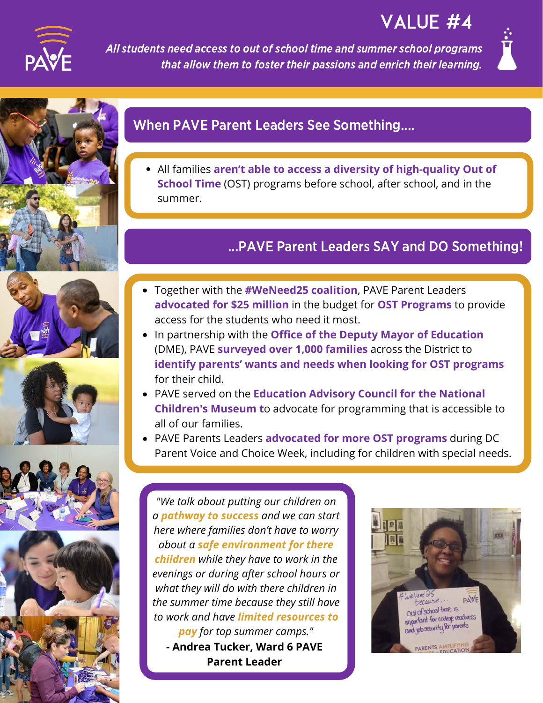

# VALUE #4

All students need access to out of school time and summer school programs that allow them to foster their passions and enrich their learning.











# When PAVE Parent Leaders See Something....

All families **aren't able to access a diversity of high-quality Out of School Time** (OST) programs before school, after school, and in the summer.

## ...PAVE Parent Leaders SAY and DO Something!

- Together with the **#WeNeed25 coalition**, PAVE Parent Leaders **advocated for \$25 million** in the budget for **OST Programs** to provide access for the students who need it most.
- (DME), PAVE **surveyed over 1,000 families** across the District to In partnership with the **Office of the Deputy Mayor of Education identify parents' wants and needs when looking for OST programs** for their child.
- PAVE served on the **Education Advisory Council for the National Children's Museum t**o advocate for programming that is accessible to all of our families.
- PAVE Parents Leaders **advocated for more OST programs** during DC Parent Voice and Choice Week, including for children with special needs.

*pay for top summer camps." "We talk about putting our children on a pathway to success and we can start here where families don't have to worry about a safe environment for there children while they have to work in the evenings or during after school hours or what they will do with there children in the summer time because they still have to work and have limited resources to* **- Andrea Tucker, Ward 6 PAVE Parent Leader**